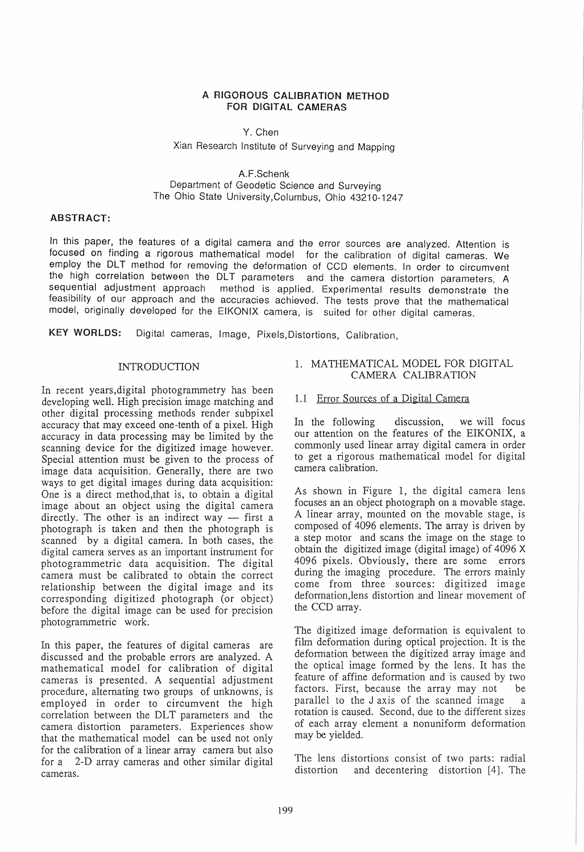### A RIGOROUS CAUBRATION METHOD FOR DIGITAL CAMERAS

#### Y. Chen

# Xian Research Institute of Surveying and Mapping

A.F.Schenk Department of Geodetic Science and Surveying The Ohlo State University,Columbus, Ohio 43210-1247

#### ABSTRACT:

In this paper, the features of a digital camera and the error sources are analyzed. Attention is focused on finding a rigorous mathematical model for the calibration of digital cameras. We employ the DLT method for removing the deformation of CCD elements. In order to circumvent the high correlation between the DLT parameters and the camera distortion parameters, A sequential adjustment approach method is applied. Experimental results demonstrate the feasibility of our approach and the accuracies achieved. The tests prove that the mathematical model, originally developed for the EIKONIX camera, is suited for other digital cameras.

KEY WORLDS: Digital cameras, Image, Pixels,Distortions, Calibration,

#### INTRODUCTION

In recent years,digital photogrammetry has been INTRODUCTION<br>In recent years, digital photogrammetry has been<br>developing well. High precision image matching and<br>other digital processing methods render subpixel other digital processing methods render subpixel accuracy that may exceed one-tenth of a pixel. High accuracy in data processing may be limited by the scanning device for the digitized image however. Special attention must be given to the process of image data acquisition. Generally, there are two ways to get digital images during data acquisition: One is a direct method,that is, to obtain a digital image about an object using the digital camera directly. The other is an indirect way  $-$  first a photograph is taken and then the photograph is scanned by a digital camera. In both cases, the digital camera serves as an important instrument for photogrammetric data acquisition. The digital camera must be calibrated to obtain the correct relationship between the digital image and its corresponding digitized photograph (or object) before the digital image can be used for precision photogrammetric work.

In this paper, the features of digital cameras are discussed and the probable errors are analyzed. A mathematical model for calibration of digital cameras is presented. A sequential adjustment procedure, altemating two groups of unknowns, is employed in order to circumvent the high correlation between the DLT parameters and the camera distortion parameters. Experiences show that the mathematical model can be used not only for the calibration of a linear array camera but also for a 2-D array cameras and other similar digital cameras.

### 1. MATHEMATICAL MODEL FOR DIGITAL CAMERA CALIBRATION

#### 1.1 Error Sources of a Digital Camera

In the foIlowing discussion, we will focus our attention on the features of the EIKONIX, a commonly used linear array digital camera in order to get a rigorous mathematical model for digital camera calibration.

As shown in Figure 1, the digital camera lens focuses an an object photograph on a movable stage. A linear array, mounted on the movable stage, is composed of 4096 elements. The array is driven by a step motor and scans the image on the stage to obtain the digitized image (digital image) of 4096 X 4096 pixels. Obviously, there are some errors during the imaging procedure. The errors mainly come from three sources: digitized image deformation,lens distortion and linear movement of the CCD array.

The digitized image deformation is equivalent to film deformation during optical projection. It is the deformation between the digitized array image and the optical image formed by the lens. It has the feature of affine deformation and is caused by two factors. First, because the array may not be parallel to the J axis of the scanned image a rotation is caused. Second, due to the different sizes of each array element a nonuniform deformation may be yielded.

The lens distortions consist of two parts: radial distortion and decentering distortion [4]. The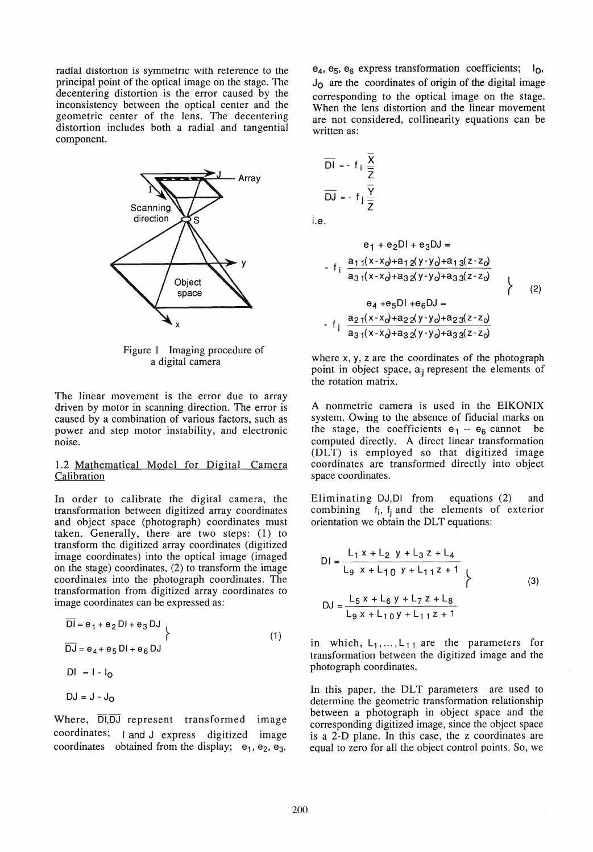radial distortion is symmetric with reterence to the principal point of the optical image on the stage. The decentering distortion is the error caused by the inconsistency between the optical center and the geometric center of the lens. The decentering distortion includes both a radial and tangential component.



Figure 1 Imaging procedure of a digital camera

The linear movement is the error due to array driven by motor in scanning direction. The error is caused by a combination of various factors, such as power and step motor instability, and electronic noise.

### 1.2 Mathematical Model for Digital Camera **Calibration**

In order to calibrate the digital camera, the transformation between digitized array coordinates and object space (photograph) coordinates must taken. Generally, there are two steps: (1) to transform the digitized array coordinates (digitized image coordinates) into the optical image (imaged on the stage) coordinates, (2) to transform the image coordinates into the photograph coordinates. The transformation from digitized array coordinates to image coordinates can be expressed as:

$$
\overline{DI} = e_1 + e_2 DI + e_3 DJ
$$
  
\n
$$
\overline{DJ} = e_4 + e_5 DI + e_6 DJ
$$
  
\n
$$
DI = I - I_0
$$
  
\n
$$
DJ = J - J_0
$$
  
\n(1)

Where,  $\overline{DI}, \overline{DJ}$  represent transformed image coordinates; land J express digitized image coordinates obtained from the display;  $e_1$ ,  $e_2$ ,  $e_3$ ,

 $e_4$ ,  $e_5$ ,  $e_6$  express transformation coefficients;  $I_0$ ,  $J_{\Omega}$  are the coordinates of origin of the digital image corresponding to the optical image on the stage. When the lens distortion and the linear movement are not considered, collinearity equations can be written as:

$$
\overline{D1} = -f_1 \frac{x}{\overline{Z}}
$$
  
\n
$$
\overline{DJ} = -f_1 \frac{\overline{Y}}{\overline{Z}}
$$
  
\n
$$
e_1 + e_2 D1 + e_3 DJ =
$$
  
\n
$$
-f_1 \frac{a_{11}(x - x_0) + a_{12}(y - y_0) + a_{13}(z - z_0)}{a_{31}(x - x_0) + a_{32}(y - y_0) + a_{33}(z - z_0)}
$$

Le.

$$
a_31(x-x_0+a_32(y-y_0+a_33(z-z_0))
$$
  
\n
$$
e_4 + e_5D1 + e_6DJ =
$$
  
\n
$$
f_j \frac{a_{21}(x-x_0)+a_{22}(y-y_0)+a_{23}(z-z_0)}{a_{31}(x-x_0)+a_{32}(y-y_0)+a_{33}(z-z_0)}
$$
 (2)

where  $x$ ,  $y$ ,  $z$  are the coordinates of the photograph point in object space, a<sub>ij</sub> represent the elements of the rotation matrix.

A nonmetric camera is used in the EIKONIX system. Owing to the absence of fiducial marks on the stage, the coefficients  $e_1 - e_6$  cannot be computed directly. A direct linear transformation (DLT) is employed so that digitized image coordinates are transformed directly into object space coordinates.

Eliminating OJ,OI from equations (2) and combining  $f_i$ ,  $f_i$  and the elements of exterior orientation we obtain the DLT equations:

$$
DI = \frac{L_1 x + L_2 y + L_3 z + L_4}{L_9 x + L_{10} y + L_{11} z + 1}
$$
  
\n
$$
DJ = \frac{L_5 x + L_6 y + L_7 z + L_8}{L_9 x + L_{10} y + L_{11} z + 1}
$$
 (3)

in which,  $L_1, \ldots, L_{11}$  are the parameters for transformation between the digitized image and the photograph coordinates.

In this paper, the DLT parameters are used to determine the geometrie transformation relationship between a photograph in object space and the corresponding digitized image, since the object space is a 2-D plane. In this case, the z coordinates are equal to zero for all the object control points. So, we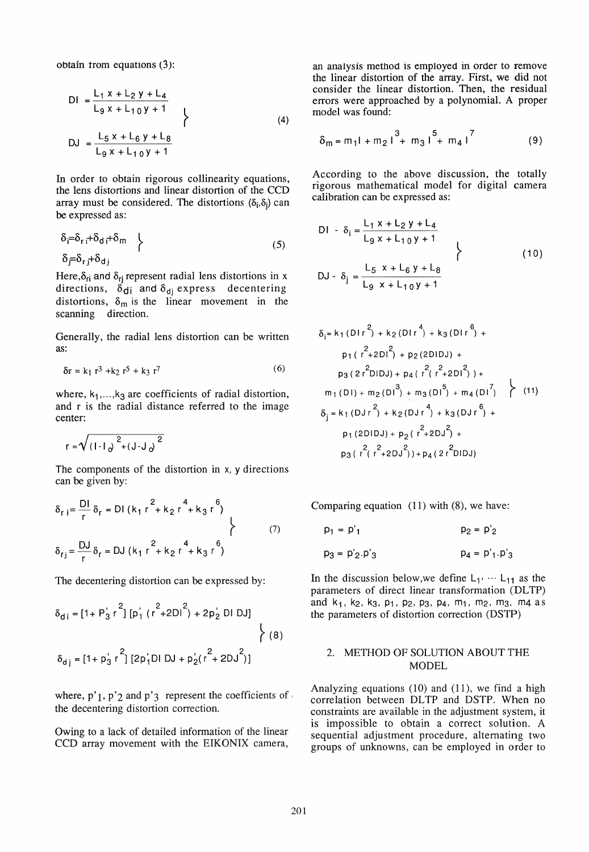obtain trom equations (3):

$$
DI = \frac{L_1 x + L_2 y + L_4}{L_9 x + L_{10} y + 1}
$$
  
\n
$$
DJ = \frac{L_5 x + L_6 y + L_8}{L_9 x + L_{10} y + 1}
$$
 (4)

In order to obtain rigorous collinearity equations, the lens distortions and linear distortion of the CCD array must be considered. The distortions  $(\delta_i, \delta_j)$  can be expressed as:

$$
\delta_{\vec{i}} = \delta_{\vec{r}} \vec{i} + \delta_{\text{d}} \vec{i} + \delta_{\text{m}} \quad \left\{\n\begin{array}{c}\n\delta_{\vec{j}} = \delta_{\vec{r}} \vec{j} + \delta_{\text{d}}\n\end{array}\n\right\} \tag{5}
$$

Here, $\delta_{ri}$  and  $\delta_{ri}$  represent radial lens distortions in x directions,  $\delta_{di}$  and  $\delta_{dj}$  express decentering distortions,  $\delta_m$  is the linear movement in the scanning direction.

Generally, the radial lens distortion can be written as:

$$
\delta r = k_1 r^3 + k_2 r^5 + k_3 r^7 \tag{6}
$$

where,  $k_1$ ,..., $k_3$  are coefficients of radial distortion, and r is the radial distance referred to the image center:

$$
r = \sqrt{(1 - 1)^{2} + (J - J)^{2}}
$$

The components of the distortion in  $x$ ,  $y$  directions can be given by:

$$
\delta_{r i} = \frac{DI}{r} \delta_{r} = DI (k_{1} r^{2} + k_{2} r^{4} + k_{3} r^{6})
$$
  

$$
\delta_{r j} = \frac{DJ}{r} \delta_{r} = DJ (k_{1} r^{2} + k_{2} r^{4} + k_{3} r^{6})
$$
 (7)

The decentering distortion can be expressed by:

$$
\delta_{di} = [1 + P_3' r^2] [p_1' (r^2 + 2Dl^2) + 2p_2' DI DJ]
$$
  

$$
\delta_{dj} = [1 + p_3' r^2] [2p_1' DI DJ + p_2' (r^2 + 2DJ^2)]
$$
 (8)

where,  $p'$ <sub>1</sub>,  $p'$ <sub>2</sub> and  $p'$ <sub>3</sub> represent the coefficients of the decentering distortion correction.

Owing to a lack of detailed information of the linear CCD array movement with the EIKONIX camera, an analysis method is employed in order to remove the linear distortion of the array. First, we did not consider the linear distortion. Then, the residual errors were approached by a polynomial. A proper model was found:

$$
\delta_{m} = m_{1}l + m_{2}l^{3} + m_{3}l^{5} + m_{4}l^{7}
$$
 (9)

According to the above discussion, the totally rigorous mathematical model for digital camera calibration can be expressed as:

$$
D1 - \delta_{i} = \frac{L_{1} x + L_{2} y + L_{4}}{L_{9} x + L_{10} y + 1}
$$
  
\n
$$
DJ - \delta_{j} = \frac{L_{5} x + L_{6} y + L_{8}}{L_{9} x + L_{10} y + 1}
$$
 (10)

$$
L_{9} \times + L_{10}y + 1
$$
\n
$$
\delta_{i} = k_{1} (D1r^{2}) + k_{2} (D1r^{4}) + k_{3} (D1r^{6}) +
$$
\n
$$
p_{1} (r^{2} + 2D1^{2}) + p_{2} (2D1DJ) +
$$
\n
$$
p_{3} (2r^{2}D1DJ) + p_{4} (r^{2} (r^{2} + 2D1^{2}) ) +
$$
\n
$$
m_{1} (D1) + m_{2} (D1^{3}) + m_{3} (D1^{5}) + m_{4} (D1^{7}) \quad (11)
$$
\n
$$
\delta_{j} = k_{1} (D1r^{2}) + k_{2} (D1r^{4}) + k_{3} (D1r^{6}) +
$$
\n
$$
p_{1} (2D1DJ) + p_{2} (r^{2} + 2DJ^{2}) +
$$
\n
$$
p_{3} (r^{2} (r^{2} + 2DJ^{2}) ) + p_{4} (2r^{2}D1DJ)
$$

Comparing equation (11) with (8), we have:

$$
p_1 = p'_1
$$
  
\n $p_2 = p'_2$   
\n $p_3 = p'_2 \cdot p'_3$   
\n $p_4 = p'_1 \cdot p'_3$ 

In the discussion below, we define  $L_1$ , ...  $L_{11}$  as the parameters of direct linear transformation (DLTP) and  $k_1$ ,  $k_2$ ,  $k_3$ ,  $p_1$ ,  $p_2$ ,  $p_3$ ,  $p_4$ ,  $m_1$ ,  $m_2$ ,  $m_3$ ,  $m_4$  as the parameters of distortion correction (DSTP)

## 2. METHOD OF SOLUTION ABOUT THE MODEL

Analyzing equations (10) and (11), we find a high correlation between DLTP and DSTP. When no constraints are available in the adjustment system, it is impossible to obtain a correct solution. A sequential adjustment procedure, altemating two groups of unknowns, can be employed in order to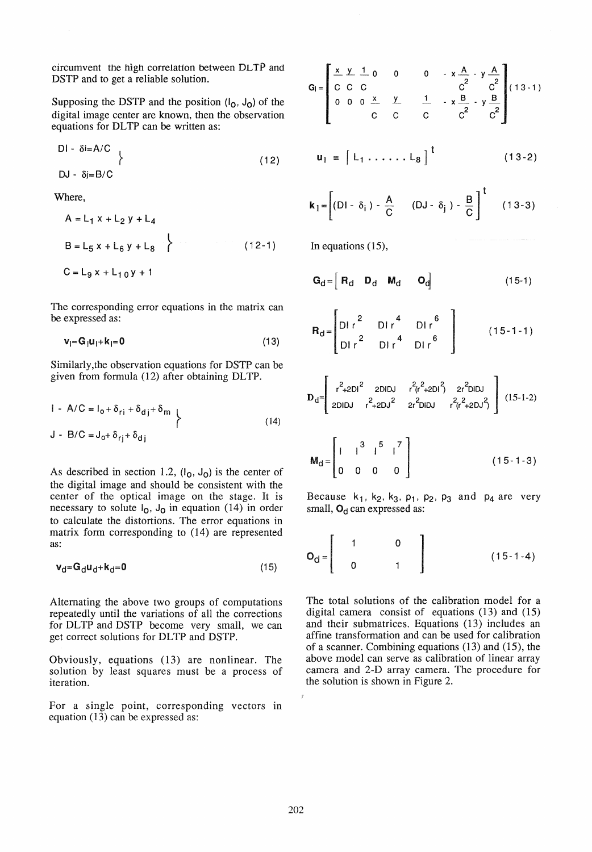circumvent the high correlation between DLTP and DSTP and to get a reliable solution.

Supposing the DSTP and the position  $(I_0, J_0)$  of the digital image center are known, then the observation equations for DLTP can be written as:

$$
DI - \delta i = A/C
$$
  
DJ -  $\delta j = B/C$  (12)

Where,

$$
A = L_1 x + L_2 y + L_4
$$
  
\n
$$
B = L_5 x + L_6 y + L_8
$$
  
\n
$$
C = L_9 x + L_{10} y + 1
$$
 (12-1)

The corresponding error equations in the matrix can be expressed as:

$$
\mathbf{v}_i = \mathbf{G}_i \mathbf{u}_i + \mathbf{k}_i = \mathbf{0} \tag{13}
$$

Similarly,the observation equations for DSTP can be given from formula (12) after obtaining DLTP.

$$
1 - A/C = I_0 + \delta_{rj} + \delta_{dj} + \delta_m
$$
  
\n
$$
J - B/C = J_0 + \delta_{rj} + \delta_{dj}
$$
 (14)

As described in section 1.2,  $(I_0, J_0)$  is the center of the digital image and should be consistent with the center of the optical image on the stage. It is necessary to solute  $I_0$ ,  $J_0$  in equation (14) in order to calculate the distortions. The error equations in matrix form corresponding to (14) are represented as:

$$
\mathbf{v}_d = \mathbf{G}_d \mathbf{u}_d + \mathbf{k}_d = \mathbf{0} \tag{15}
$$

Altemating the above two groups of computations repeatedly until the variations of all the corrections for DLTP and DSTP become very small, we can get correct solutions for DL TP and DSTP.

Obviously, equations (13) are nonlinear. The solution by least squares must be a process of iteration.

For a single point, corresponding vectors in equation (13) can be expressed as:

$$
G_{1} = \begin{bmatrix} \frac{x}{C} & \frac{y}{C} & \frac{1}{C} & 0 & 0 & 0 & -x\frac{A}{C^{2}} & y\frac{A}{C^{2}} \\ 0 & 0 & 0 & \frac{x}{C} & \frac{y}{C} & \frac{1}{C} & -x\frac{B}{C^{2}} & -y\frac{B}{C^{2}} \\ 0 & 0 & 0 & \frac{x}{C} & \frac{y}{C} & \frac{1}{C} & 0 & 0 \end{bmatrix} (13-1)
$$

$$
\mathbf{u}_1 = \begin{bmatrix} L_1 & \dots & L_8 \end{bmatrix}^{T}
$$
 (13-2)

$$
\mathbf{k}_1 = \left[ (\mathsf{DI} - \delta_i) - \frac{\mathsf{A}}{\mathsf{C}} \qquad (\mathsf{DJ} - \delta_j) - \frac{\mathsf{B}}{\mathsf{C}} \right]^{\mathsf{T}} \qquad (13-3)
$$

In equations (15),

$$
\mathbf{G}_{\mathbf{d}} = \begin{bmatrix} \mathbf{R}_{\mathbf{d}} & \mathbf{D}_{\mathbf{d}} & \mathbf{M}_{\mathbf{d}} & \mathbf{O}_{\mathbf{d}} \end{bmatrix} \tag{15-1}
$$

$$
\mathbf{R}_{d} = \begin{bmatrix} 2 & D1r^{4} & D1r^{6} \\ D1r^{2} & D1r^{4} & D1r^{6} \end{bmatrix}
$$
 (15-1-1)

$$
\mathbf{D}_{d} = \begin{bmatrix} r^{2} + 2Dl^{2} & 2DlDJ & r^{2}(r^{2} + 2Dl^{2}) & 2r^{2}DlDJ \\ 2DlDJ & r^{2} + 2DJ^{2} & 2r^{2}DlDJ & r^{2}(r^{2} + 2DJ^{2}) \end{bmatrix} (15-1-2)
$$

$$
\mathbf{M}_{\mathbf{d}} = \begin{bmatrix} 1 & 1 & 3 & 5 & 7 \\ 0 & 0 & 0 & 0 & 0 \\ 0 & 0 & 0 & 0 & 0 \end{bmatrix}
$$
 (15-1-3)

Because  $k_1$ ,  $k_2$ ,  $k_3$ ,  $p_1$ ,  $p_2$ ,  $p_3$  and  $p_4$  are very small,  $O_d$  can expressed as:

$$
O_d = \begin{bmatrix} 1 & 0 & 0 & 0 & 0 \\ 0 & 1 & 0 & 0 & 0 \\ 0 & 0 & 1 & 0 & 0 \end{bmatrix}
$$
 (15-1-4)

The total solutions of the calibration model for a digital camera consist of equations (13) and (15) and their submatrices. Equations (13) includes an affine transformation and can be used for calibration of a scanner. Combining equations (13) and (15), the above model can serve as calibration of linear array camera and 2-D array camera. The procedure for the solution is shown in Figure 2.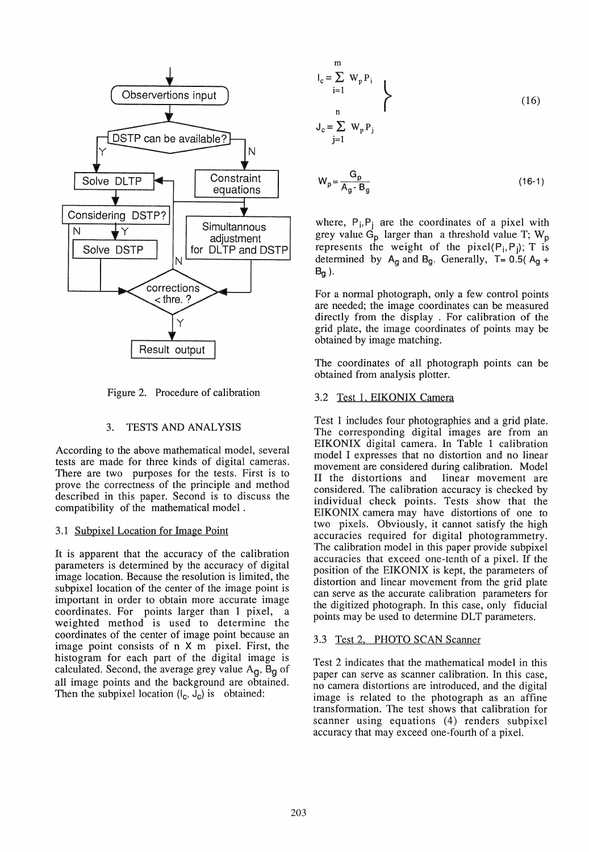

Figure 2. Procedure of calibration

### 3. TESTS AND ANALYSIS

According to the above mathematical model, several tests are made for three kinds of digital cameras. There are two purposes for the tests. First is to prove the correctness of the principle and method described in this paper. Second is to discuss the compatibility of the mathematical model .

### 3.1 Subpixel Location for Image Point

It is apparent that the accuracy of the calibration parameters is determined by the accuracy of digital image location. Because the resolution is limited, the subpixel location of the center of the image point is important in order to obtain more accurate image coordinates. For points larger than 1 pixel, a weighted method is used to determine the coordinates of the center of image point because an image point consists of  $n \times m$  pixel. First, the histogram for each part of the digital image is calculated. Second, the average grey value  $A<sub>g</sub>$ , B<sub>g</sub> of all image points and the background are obtained. Then the subpixel location  $(l_c, J_c)$  is obtained:

$$
I_{c} = \sum_{i=1}^{m} W_{p} P_{i}
$$
  
\n
$$
J_{c} = \sum_{j=1}^{n} W_{p} P_{j}
$$
 (16)

$$
W_p = \frac{G_p}{A_g - B_g} \tag{16-1}
$$

where,  $P_i, P_j$  are the coordinates of a pixel with grey value  $G_p$  larger than a threshold value T;  $W_p$ represents the weight of the pixel $(P_i, P_j)$ ; T is determined by  $A_g$  and  $B_g$ . Generally, T= 0.5( $A_g$  +  $B_g$  ).

For a normal photograph, only a few control points are needed; the image coordinates can be measured directly from the display . For calibration of the grid plate, the image coordinates of points may be obtained by image matching.

The coordinates of all photograph points can be obtained from analysis plotter.

### 3.2 Test 1. EIKONIX Camera

Test 1 includes four photographies and a grid plate. The corresponding digital images are from an EIKONIX digital camera. In Table 1 calibration model I expresses that no distortion and no linear movement are considered during calibration. Model II the distortions and linear movement are considered. The calibration accuracy is checked by individual check points. Tests show that the EIKONIX camera may have distortions of one to two pixels. Obviously, it cannot satisfy the high accuracies required for digital photogrammetry. The calibration model in this paper provide subpixel accuracies that exceed one-tenth of a pixel. If the position of the EIKONIX is kept, the parameters of distortion and linear movement from the grid plate can serve as the accurate calibration parameters for the digitized photograph. In this case, only fiducial points may be used to determine DLT parameters.

### 3.3 Test 2, PHOTO SCAN Scanner

Test 2 indicates that the mathematical model in this paper can serve as scanner calibration. In this case, no camera distortions are introduced, and the digital image is related to the photograph as an affine transformation. The test shows that calibration for scanner using equations (4) renders subpixel accuracy that may exceed one-fourth of a pixel.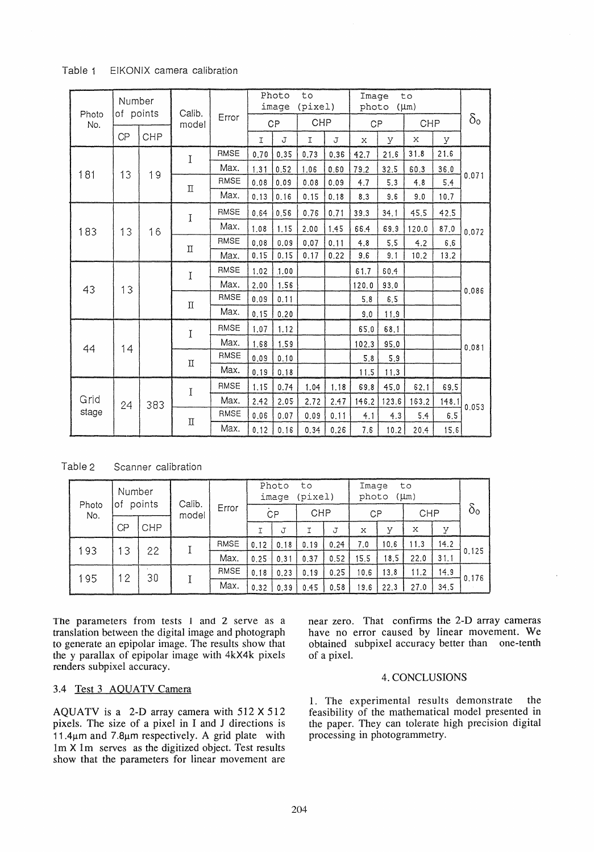| Table 1 |  |  | EIKONIX camera calibration |
|---------|--|--|----------------------------|
|---------|--|--|----------------------------|

| Photo<br>No. | Number<br>of points |           | Calib.    |             |             | Photo<br>image | to<br>(pixel) |      | to<br>Image<br>photo<br>$(\mu m)$ |       |            |       | $\delta$ <sub>o</sub> |       |      |  |  |  |
|--------------|---------------------|-----------|-----------|-------------|-------------|----------------|---------------|------|-----------------------------------|-------|------------|-------|-----------------------|-------|------|--|--|--|
|              |                     |           | model     | Error       | <b>CP</b>   |                | CHP           |      | CP                                |       | <b>CHP</b> |       |                       |       |      |  |  |  |
|              | CP                  | CHP       |           |             | $\mathbf I$ | J              | $\mathbf{I}$  | J    | $\mathbf x$                       | У     | X          | У     |                       |       |      |  |  |  |
|              |                     | 19        | I         | RMSE        | 0.70        | 0.35           | 0.73          | 0.36 | 42.7                              | 21.6  | 31.8       | 21.6  | 0.071                 |       |      |  |  |  |
| 181          | 13                  |           |           | Max.        | 1.31        | 0.52           | 1.06          | 0.60 | 79.2                              | 32.5  | 60.3       | 36.0  |                       |       |      |  |  |  |
|              |                     |           | $\rm \Pi$ | <b>RMSE</b> | 0.08        | 0.09           | 0.08          | 0.09 | 4.7                               | 5.3   | 4.8        | 5.4   |                       |       |      |  |  |  |
|              |                     |           |           | Max.        | 0.13        | 0.16           | 0.15          | 0.18 | 8.3                               | 9.6   | 9.0        | 10.7  |                       |       |      |  |  |  |
|              |                     |           | I         | <b>RMSE</b> | 0.64        | 0.56           | 0.76          | 0.71 | 39.3                              | 34.1  | 45.5       | 42.5  | 0.072                 |       |      |  |  |  |
| 183          | 13                  | 16        |           | Max.        | 1.08        | 1.15           | 2.00          | 1.45 | 66.4                              | 69.9  | 120.0      | 87.0  |                       |       |      |  |  |  |
|              |                     |           |           | RMSE        | 0.08        | 0.09           | 0.07          | 0.11 | 4.8                               | 5.5   | 4.2        | 6, 6  |                       |       |      |  |  |  |
|              |                     |           | $\rm \Pi$ | Max.        | 0.15        | 0.15           | 0.17          | 0.22 | 9.6                               | 9.1   | 10.2       | 13.2  |                       |       |      |  |  |  |
|              |                     |           | I         | RMSE        | 1.02        | 1.00           |               |      | 61.7                              | 60.4  |            |       |                       |       |      |  |  |  |
| 43           | 13                  |           |           |             | Max.        | 2.00           | 1.56          |      |                                   | 120.0 | 93.0       |       |                       | 0.086 |      |  |  |  |
|              |                     |           | $\rm \Pi$ | <b>RMSE</b> | 0.09        | 0.11           |               |      | 5.8                               | 6.5   |            |       |                       |       |      |  |  |  |
|              |                     |           |           | Max.        | 0.15        | 0.20           |               |      | 9.0                               | 11.9  |            |       |                       |       |      |  |  |  |
|              |                     |           |           |             |             |                |               | I    | RMSE                              | 1.07  | 1.12       |       |                       | 65.0  | 68.1 |  |  |  |
| 44           | 14                  |           |           | Max.        | 1.68        | 1.59           |               |      | 102.3                             | 95.0  |            |       | 0.081                 |       |      |  |  |  |
|              |                     |           | $\rm \Pi$ | <b>RMSE</b> | 0.09        | 0.10           |               |      | 5.8                               | 5.9   |            |       |                       |       |      |  |  |  |
|              |                     |           |           | Max.        | 0.19        | 0.18           |               |      | 11.5                              | 11.3  |            |       |                       |       |      |  |  |  |
|              |                     | 383<br>24 | I         | RMSE        | 1.15        | 0.74           | 1.04          | 1.18 | 69.8                              | 45,0  | 62.1       | 69.5  | 0.053                 |       |      |  |  |  |
| Grid         |                     |           |           | Max.        | 2.42        | 2.05           | 2.72          | 2.47 | 146.2                             | 123.6 | 163.2      | 148.1 |                       |       |      |  |  |  |
| stage        |                     |           |           | RMSE        | 0.06        | 0.07           | 0.09          | 0.11 | 4.1                               | 4.3   | 5.4        | 6.5   |                       |       |      |  |  |  |
|              |                     |           |           |             |             | П              | Max.          | 0.12 | 0.16                              | 0.34  | 0.26       | 7.6   | 10.2                  | 20.4  | 15.6 |  |  |  |

Table 2 Scanner calibration

|              | Number<br>points<br>οf |            | Calib. | Error       | Photo<br>to<br>(pixel)<br>image |          |            |      | Image<br>to<br>photo<br>$(\mu m)$ |      |            |      |                  |
|--------------|------------------------|------------|--------|-------------|---------------------------------|----------|------------|------|-----------------------------------|------|------------|------|------------------|
| Photo<br>No. |                        |            | model  |             | <b>CP</b>                       |          | <b>CHP</b> |      | CP                                |      | <b>CHP</b> |      | $\delta_{\rm o}$ |
|              | СP                     | <b>CHP</b> |        |             |                                 | J        |            | J    | х                                 | v    | x          | v    |                  |
| 193<br>13    |                        | 22         |        | <b>RMSE</b> | 0.12                            | 0.18     | 0.19       | 0.24 | 7.0                               | 10.6 | 11.3       | 14.2 |                  |
|              |                        |            |        |             | Max.                            | $0.25 -$ | 0.31       | 0.37 | 0.52                              | 15.5 | 18.5       | 22.0 | 31.1             |
| 195          | 12                     |            | 30     | <b>RMSE</b> | 0.18                            | 0.23     | 0.19       | 0.25 | 10.6                              | 13.8 | 11.2       | 14.9 | 0.176            |
|              |                        |            |        |             |                                 | Max.     | 0.32       | 0.39 | 0.45                              | 0.58 | 9.6        | 22.3 | 27.0             |

The parameters from tests 1 and 2 serve as a translation between the digital image and photograph to generate an epipolar image. The results show that the y parallax of epipolar image with 4kX4k pixels renders subpixel accuracy.

### 3.4 Test 3 AOUATV Camera

AQUATV is a 2-D array camera with 512 X 512 pixels. The size of a pixel in land J directions is 11.4 $\mu$ m and 7.8 $\mu$ m respectively. A grid plate with 1m X 1m serves as the digitized objecl. Test results show that the parameters for linear movement are near zero. That confirms the 2-D array cameras have no error caused by linear movement. We obtained subpixel accuracy better than one-tenth of a pixel.

#### 4. CONCLUSIONS

1. The experimental results demonstrate the feasibility of the mathematical model presented in the paper. They can tolerate high precision digital processing in photogrammetry.